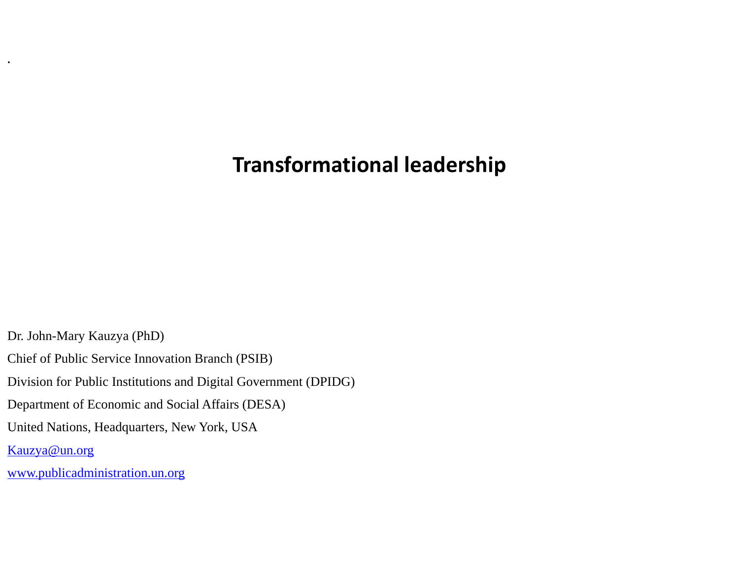## **Transformational leadership**

Dr. John-Mary Kauzya (PhD) Chief of Public Service Innovation Branch (PSIB) Division for Public Institutions and Digital Government (DPIDG) Department of Economic and Social Affairs (DESA) United Nations, Headquarters, New York, USA [Kauzya@un.org](mailto:Kauzya@un.org) [www.publicadministration.un.org](http://www.publicadministration.un.org/)

**.**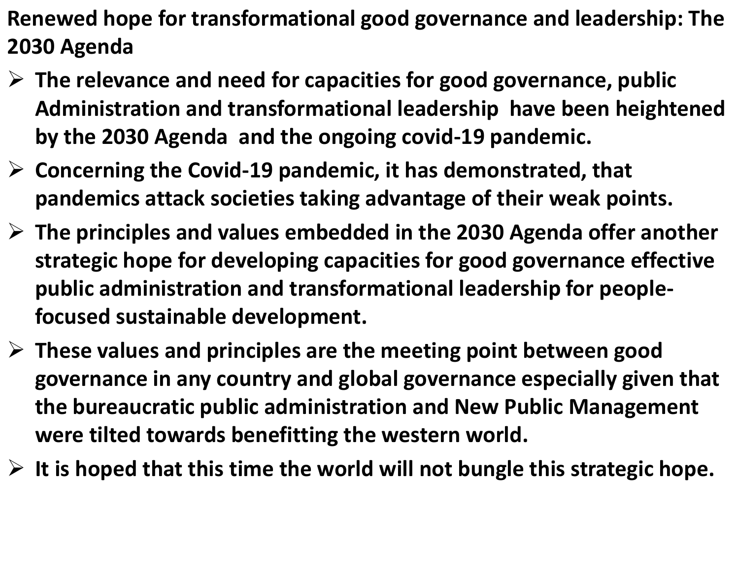- **Renewed hope for transformational good governance and leadership: The 2030 Agenda**
- ➢ **The relevance and need for capacities for good governance, public Administration and transformational leadership have been heightened by the 2030 Agenda and the ongoing covid-19 pandemic.**
- ➢ **Concerning the Covid-19 pandemic, it has demonstrated, that pandemics attack societies taking advantage of their weak points.**
- ➢ **The principles and values embedded in the 2030 Agenda offer another strategic hope for developing capacities for good governance effective public administration and transformational leadership for peoplefocused sustainable development.**
- ➢ **These values and principles are the meeting point between good governance in any country and global governance especially given that the bureaucratic public administration and New Public Management were tilted towards benefitting the western world.**
- ➢ **It is hoped that this time the world will not bungle this strategic hope.**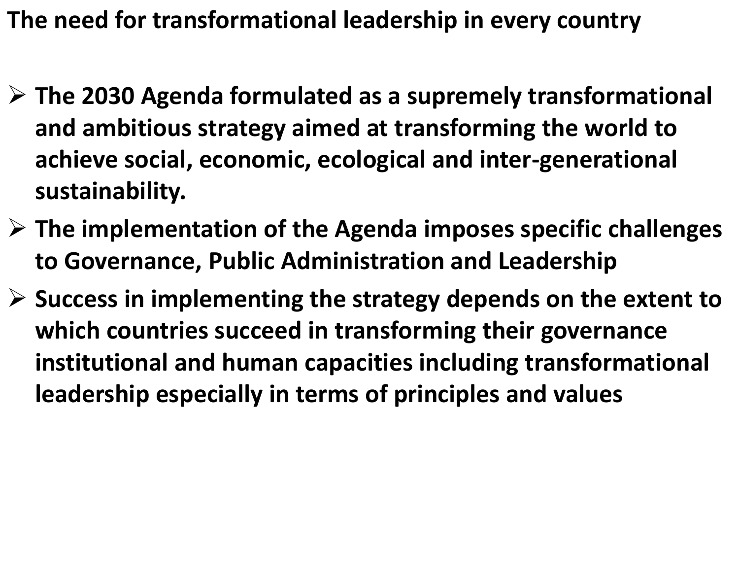**The need for transformational leadership in every country**

- ➢ **The 2030 Agenda formulated as a supremely transformational and ambitious strategy aimed at transforming the world to achieve social, economic, ecological and inter-generational sustainability.**
- ➢ **The implementation of the Agenda imposes specific challenges to Governance, Public Administration and Leadership**
- ➢ **Success in implementing the strategy depends on the extent to which countries succeed in transforming their governance institutional and human capacities including transformational leadership especially in terms of principles and values**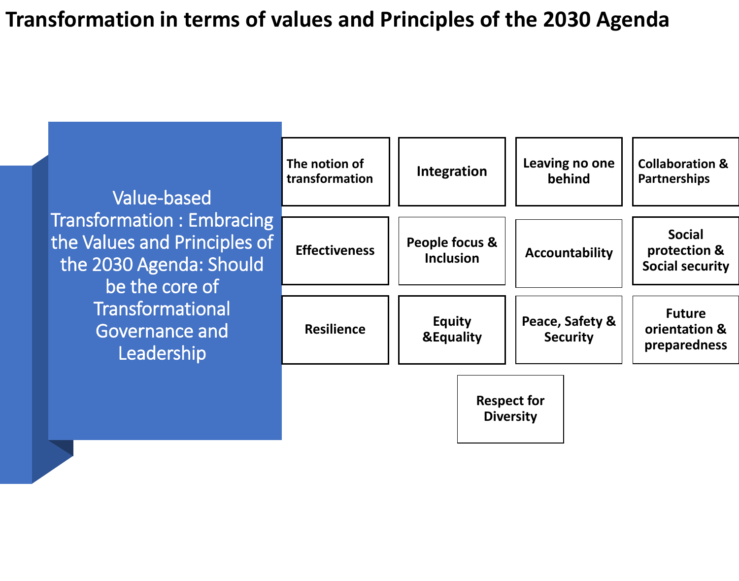## **Transformation in terms of values and Principles of the 2030 Agenda**

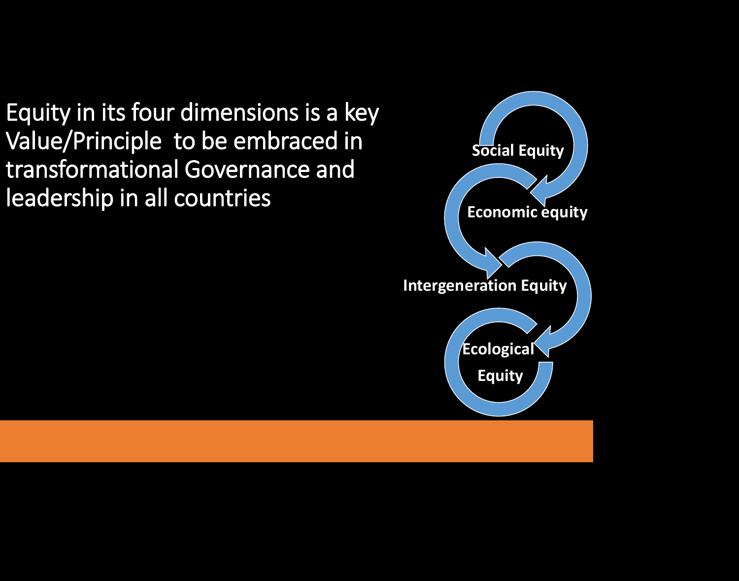Equity in its four dimensions is a key Value/Principle to be embraced in transformational Governance and leadership in all countries

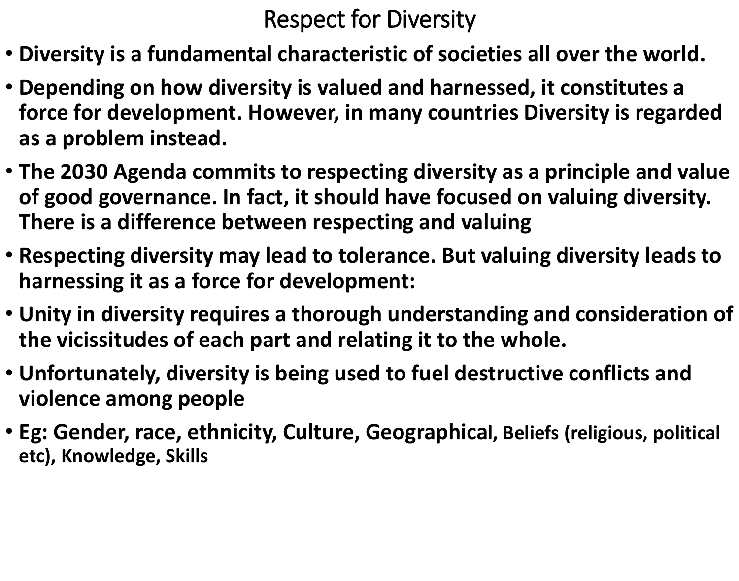## Respect for Diversity

- **Diversity is a fundamental characteristic of societies all over the world.**
- **Depending on how diversity is valued and harnessed, it constitutes a force for development. However, in many countries Diversity is regarded as a problem instead.**
- **The 2030 Agenda commits to respecting diversity as a principle and value of good governance. In fact, it should have focused on valuing diversity. There is a difference between respecting and valuing**
- **Respecting diversity may lead to tolerance. But valuing diversity leads to harnessing it as a force for development:**
- **Unity in diversity requires a thorough understanding and consideration of the vicissitudes of each part and relating it to the whole.**
- **Unfortunately, diversity is being used to fuel destructive conflicts and violence among people**
- **Eg: Gender, race, ethnicity, Culture, Geographical, Beliefs (religious, political etc), Knowledge, Skills**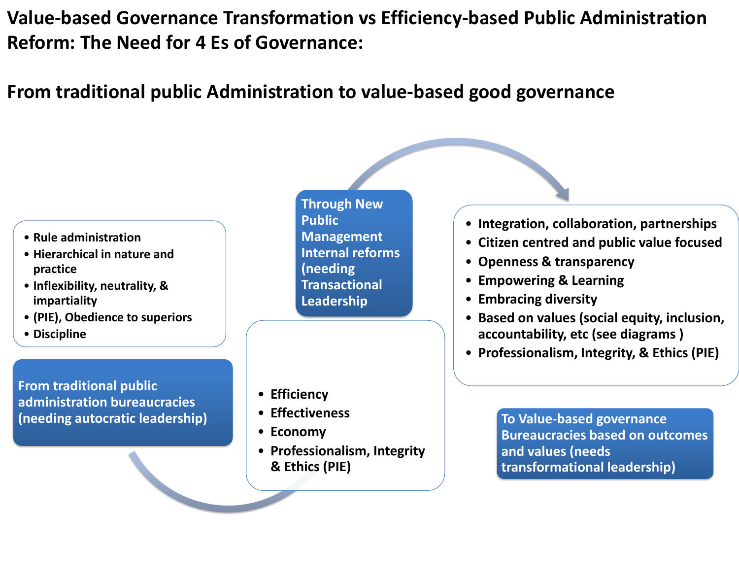**Value-based Governance Transformation vs Efficiency-based Public Administration Reform: The Need for 4 Es of Governance:**

## **From traditional public Administration to value-based good governance**

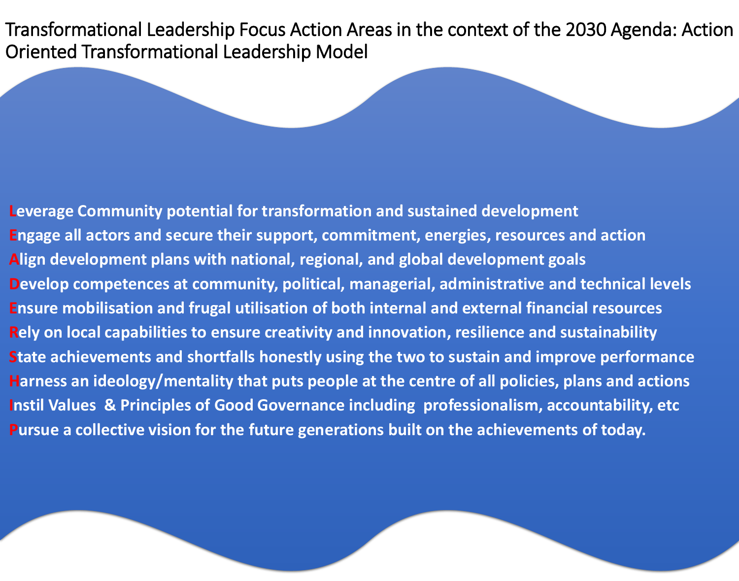Transformational Leadership Focus Action Areas in the context of the 2030 Agenda: Action Oriented Transformational Leadership Model

**Leverage Community potential for transformation and sustained development Engage all actors and secure their support, commitment, energies, resources and action Align development plans with national, regional, and global development goals Develop competences at community, political, managerial, administrative and technical levels Ensure mobilisation and frugal utilisation of both internal and external financial resources Rely on local capabilities to ensure creativity and innovation, resilience and sustainability State achievements and shortfalls honestly using the two to sustain and improve performance Harness an ideology/mentality that puts people at the centre of all policies, plans and actions Instil Values & Principles of Good Governance including professionalism, accountability, etc Pursue a collective vision for the future generations built on the achievements of today.**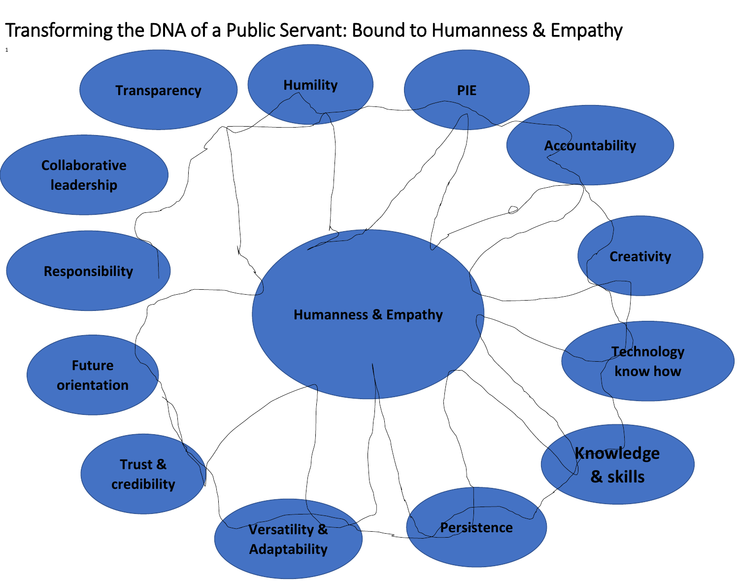Transforming the DNA of a Public Servant: Bound to Humanness & Empathy

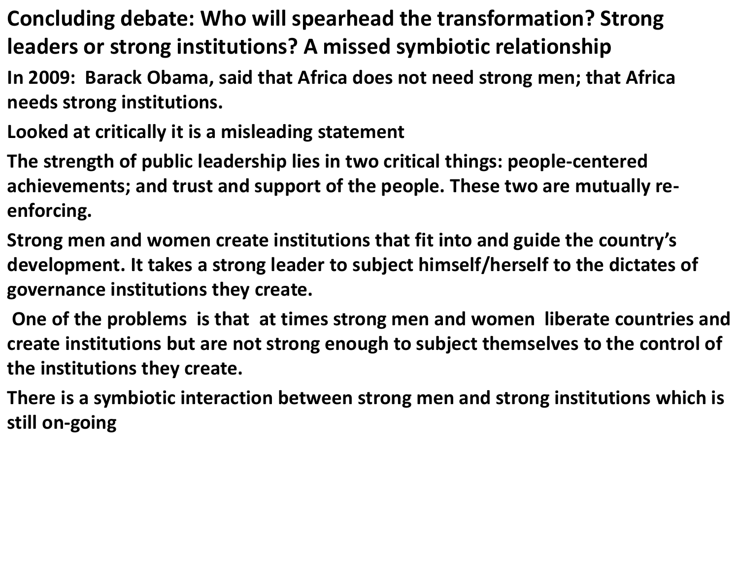- **Concluding debate: Who will spearhead the transformation? Strong leaders or strong institutions? A missed symbiotic relationship**
- **In 2009: Barack Obama, said that Africa does not need strong men; that Africa needs strong institutions.**
- **Looked at critically it is a misleading statement**
- **The strength of public leadership lies in two critical things: people-centered achievements; and trust and support of the people. These two are mutually reenforcing.**
- **Strong men and women create institutions that fit into and guide the country's development. It takes a strong leader to subject himself/herself to the dictates of governance institutions they create.**
- **One of the problems is that at times strong men and women liberate countries and create institutions but are not strong enough to subject themselves to the control of the institutions they create.**
- **There is a symbiotic interaction between strong men and strong institutions which is still on-going**